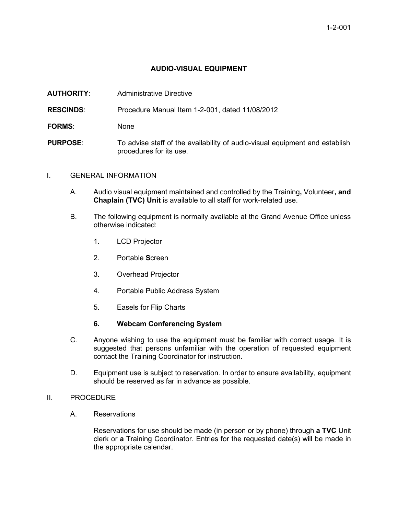# **AUDIO-VISUAL EQUIPMENT**

| <b>AUTHORITY:</b> | Administrative Directive |
|-------------------|--------------------------|
|                   |                          |

**RESCINDS**: Procedure Manual Item 1-2-001, dated 11/08/2012

**FORMS**: None

**PURPOSE:** To advise staff of the availability of audio-visual equipment and establish procedures for its use.

## I. GENERAL INFORMATION

- A. Audio visual equipment maintained and controlled by the Training**,** Volunteer**, and Chaplain (TVC) Unit** is available to all staff for work-related use.
- B. The following equipment is normally available at the Grand Avenue Office unless otherwise indicated:
	- 1. LCD Projector
	- 2. Portable **S**creen
	- 3. Overhead Projector
	- 4. Portable Public Address System
	- 5. Easels for Flip Charts

## **6. Webcam Conferencing System**

- C. Anyone wishing to use the equipment must be familiar with correct usage. It is suggested that persons unfamiliar with the operation of requested equipment contact the Training Coordinator for instruction.
- D. Equipment use is subject to reservation. In order to ensure availability, equipment should be reserved as far in advance as possible.

## II. PROCEDURE

A. Reservations

Reservations for use should be made (in person or by phone) through **a TVC** Unit clerk or **a** Training Coordinator. Entries for the requested date(s) will be made in the appropriate calendar.